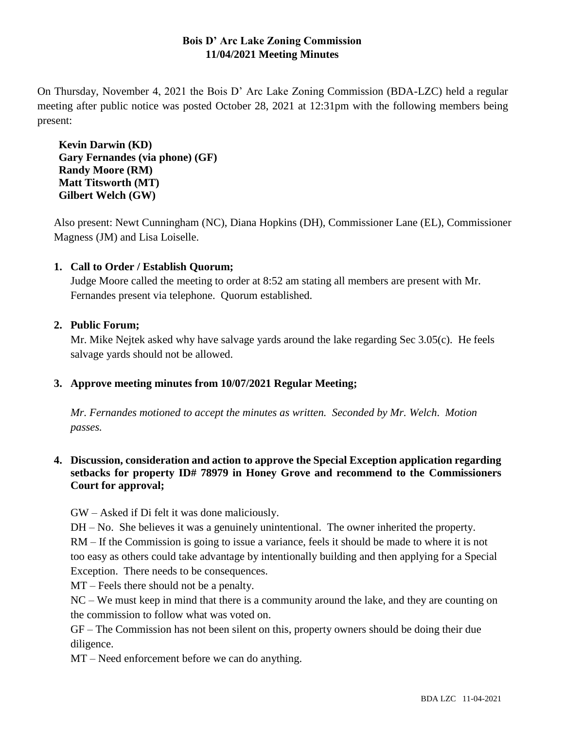# **Bois D' Arc Lake Zoning Commission 11/04/2021 Meeting Minutes**

On Thursday, November 4, 2021 the Bois D' Arc Lake Zoning Commission (BDA-LZC) held a regular meeting after public notice was posted October 28, 2021 at 12:31pm with the following members being present:

**Kevin Darwin (KD) Gary Fernandes (via phone) (GF) Randy Moore (RM) Matt Titsworth (MT) Gilbert Welch (GW)**

Also present: Newt Cunningham (NC), Diana Hopkins (DH), Commissioner Lane (EL), Commissioner Magness (JM) and Lisa Loiselle.

# **1. Call to Order / Establish Quorum;**

Judge Moore called the meeting to order at 8:52 am stating all members are present with Mr. Fernandes present via telephone. Quorum established.

## **2. Public Forum;**

Mr. Mike Nejtek asked why have salvage yards around the lake regarding Sec 3.05(c). He feels salvage yards should not be allowed.

## **3. Approve meeting minutes from 10/07/2021 Regular Meeting;**

*Mr. Fernandes motioned to accept the minutes as written. Seconded by Mr. Welch*. *Motion passes.*

## **4. Discussion, consideration and action to approve the Special Exception application regarding setbacks for property ID# 78979 in Honey Grove and recommend to the Commissioners Court for approval;**

GW – Asked if Di felt it was done maliciously.

DH – No. She believes it was a genuinely unintentional. The owner inherited the property. RM – If the Commission is going to issue a variance, feels it should be made to where it is not

too easy as others could take advantage by intentionally building and then applying for a Special Exception. There needs to be consequences.

MT – Feels there should not be a penalty.

NC – We must keep in mind that there is a community around the lake, and they are counting on the commission to follow what was voted on.

GF – The Commission has not been silent on this, property owners should be doing their due diligence.

MT – Need enforcement before we can do anything.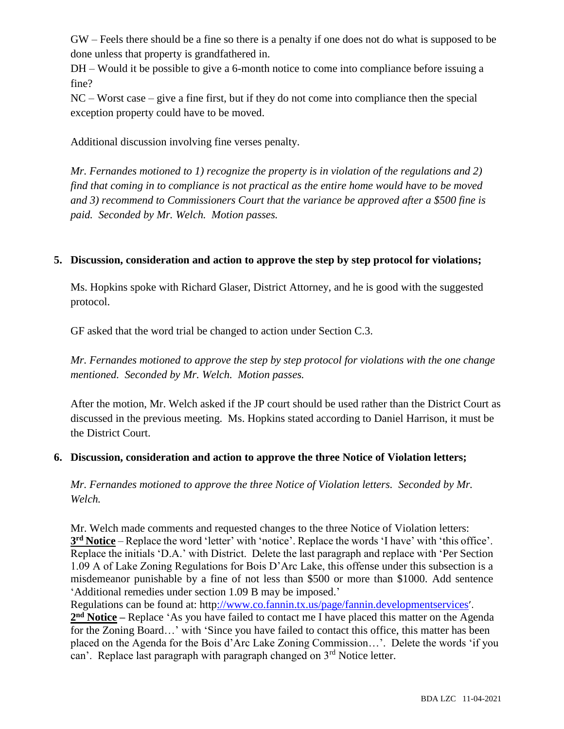GW – Feels there should be a fine so there is a penalty if one does not do what is supposed to be done unless that property is grandfathered in.

DH – Would it be possible to give a 6-month notice to come into compliance before issuing a fine?

NC – Worst case – give a fine first, but if they do not come into compliance then the special exception property could have to be moved.

Additional discussion involving fine verses penalty.

*Mr. Fernandes motioned to 1) recognize the property is in violation of the regulations and 2) find that coming in to compliance is not practical as the entire home would have to be moved and 3) recommend to Commissioners Court that the variance be approved after a \$500 fine is paid. Seconded by Mr. Welch. Motion passes.*

### **5. Discussion, consideration and action to approve the step by step protocol for violations;**

Ms. Hopkins spoke with Richard Glaser, District Attorney, and he is good with the suggested protocol.

GF asked that the word trial be changed to action under Section C.3.

*Mr. Fernandes motioned to approve the step by step protocol for violations with the one change mentioned. Seconded by Mr. Welch. Motion passes.*

After the motion, Mr. Welch asked if the JP court should be used rather than the District Court as discussed in the previous meeting. Ms. Hopkins stated according to Daniel Harrison, it must be the District Court.

#### **6. Discussion, consideration and action to approve the three Notice of Violation letters;**

*Mr. Fernandes motioned to approve the three Notice of Violation letters. Seconded by Mr. Welch.*

Mr. Welch made comments and requested changes to the three Notice of Violation letters: **3 rd Notice** – Replace the word 'letter' with 'notice'. Replace the words 'I have' with 'this office'. Replace the initials 'D.A.' with District. Delete the last paragraph and replace with 'Per Section 1.09 A of Lake Zoning Regulations for Bois D'Arc Lake, this offense under this subsection is a misdemeanor punishable by a fine of not less than \$500 or more than \$1000. Add sentence 'Additional remedies under section 1.09 B may be imposed.'

Regulations can be found at: htt[p://www.co.fannin.tx.us/page/fannin.developmentservices](http://www.co.fannin.tx.us/page/fannin.developmentservices)'.

**2 nd Notice –** Replace 'As you have failed to contact me I have placed this matter on the Agenda for the Zoning Board…' with 'Since you have failed to contact this office, this matter has been placed on the Agenda for the Bois d'Arc Lake Zoning Commission…'. Delete the words 'if you can'. Replace last paragraph with paragraph changed on  $3<sup>rd</sup>$  Notice letter.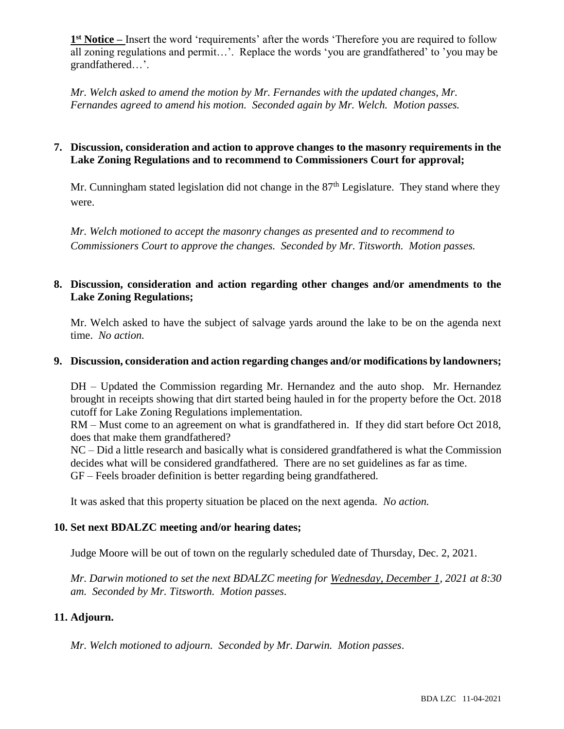1<sup>st</sup> Notice – Insert the word 'requirements' after the words 'Therefore you are required to follow all zoning regulations and permit…'. Replace the words 'you are grandfathered' to 'you may be grandfathered…'.

*Mr. Welch asked to amend the motion by Mr. Fernandes with the updated changes, Mr. Fernandes agreed to amend his motion. Seconded again by Mr. Welch. Motion passes.*

#### **7. Discussion, consideration and action to approve changes to the masonry requirements in the Lake Zoning Regulations and to recommend to Commissioners Court for approval;**

Mr. Cunningham stated legislation did not change in the  $87<sup>th</sup>$  Legislature. They stand where they were.

*Mr. Welch motioned to accept the masonry changes as presented and to recommend to Commissioners Court to approve the changes. Seconded by Mr. Titsworth. Motion passes.*

## **8. Discussion, consideration and action regarding other changes and/or amendments to the Lake Zoning Regulations;**

Mr. Welch asked to have the subject of salvage yards around the lake to be on the agenda next time. *No action.*

#### **9. Discussion, consideration and action regarding changes and/or modifications by landowners;**

DH – Updated the Commission regarding Mr. Hernandez and the auto shop. Mr. Hernandez brought in receipts showing that dirt started being hauled in for the property before the Oct. 2018 cutoff for Lake Zoning Regulations implementation.

RM – Must come to an agreement on what is grandfathered in. If they did start before Oct 2018, does that make them grandfathered?

NC – Did a little research and basically what is considered grandfathered is what the Commission decides what will be considered grandfathered. There are no set guidelines as far as time. GF – Feels broader definition is better regarding being grandfathered.

It was asked that this property situation be placed on the next agenda. *No action.*

#### **10. Set next BDALZC meeting and/or hearing dates;**

Judge Moore will be out of town on the regularly scheduled date of Thursday, Dec. 2, 2021.

*Mr. Darwin motioned to set the next BDALZC meeting for Wednesday, December 1, 2021 at 8:30 am. Seconded by Mr. Titsworth. Motion passes*.

# **11. Adjourn.**

*Mr. Welch motioned to adjourn. Seconded by Mr. Darwin. Motion passes*.